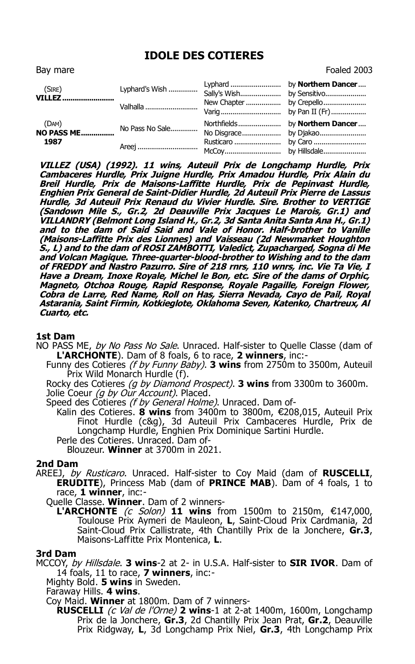# **IDOLE DES COTIERES**

| Bay mare                                      |                 |  | Foaled 2003 |
|-----------------------------------------------|-----------------|--|-------------|
| (Sire)<br><b>VILLEZ</b>                       |                 |  |             |
|                                               | Valhalla        |  |             |
| (DAM)<br>$(OAM)$<br><b>NO PASS ME</b><br>1987 | No Pass No Sale |  |             |
|                                               | Areej           |  |             |

**VILLEZ (USA) (1992). 11 wins, Auteuil Prix de Longchamp Hurdle, Prix Cambaceres Hurdle, Prix Juigne Hurdle, Prix Amadou Hurdle, Prix Alain du Breil Hurdle, Prix de Maisons-Laffitte Hurdle, Prix de Pepinvast Hurdle, Enghien Prix General de Saint-Didier Hurdle, 2d Auteuil Prix Pierre de Lassus Hurdle, 3d Auteuil Prix Renaud du Vivier Hurdle. Sire. Brother to VERTIGE (Sandown Mile S., Gr.2, 2d Deauville Prix Jacques Le Marois, Gr.1) and VILLANDRY (Belmont Long Island H., Gr.2, 3d Santa Anita Santa Ana H., Gr.1) and to the dam of Said Said and Vale of Honor. Half-brother to Vanille (Maisons-Laffitte Prix des Lionnes) and Vaisseau (2d Newmarket Houghton S., L) and to the dam of ROSI ZAMBOTTI, Valedict, Zupacharged, Sogna di Me and Volcan Magique. Three-quarter-blood-brother to Wishing and to the dam of FREDDY and Nastro Pazurro. Sire of 218 rnrs, 110 wnrs, inc. Vie Ta Vie, I Have a Dream, Inoxe Royale, Michel le Bon, etc. Sire of the dams of Orphic, Magneto, Otchoa Rouge, Rapid Response, Royale Pagaille, Foreign Flower, Cobra de Larre, Red Name, Roll on Has, Sierra Nevada, Cayo de Pail, Royal Astarania, Saint Firmin, Kotkieglote, Oklahoma Seven, Katenko, Chartreux, Al Cuarto, etc.**

#### **1st Dam**

- NO PASS ME, by No Pass No Sale. Unraced. Half-sister to Quelle Classe (dam of **L'ARCHONTE**). Dam of 8 foals, 6 to race, **2 winners**, inc:-
	- Funny des Cotieres (f by Funny Baby). **3 wins** from 2750m to 3500m, Auteuil Prix Wild Monarch Hurdle (f).

Rocky des Cotieres (g by Diamond Prospect). **3 wins** from 3300m to 3600m. Jolie Coeur *(g by Our Account)*. Placed.

Speed des Cotieres *(f by General Holme)*. Unraced. Dam of-

Kalin des Cotieres. **8 wins** from 3400m to 3800m, €208,015, Auteuil Prix Finot Hurdle (c&g), 3d Auteuil Prix Cambaceres Hurdle, Prix de Longchamp Hurdle, Enghien Prix Dominique Sartini Hurdle. Perle des Cotieres. Unraced. Dam of-

Blouzeur. **Winner** at 3700m in 2021.

## **2nd Dam**

AREEJ, by Rusticaro. Unraced. Half-sister to Coy Maid (dam of **RUSCELLI**, **ERUDITE**), Princess Mab (dam of **PRINCE MAB**). Dam of 4 foals, 1 to race, **1 winner**, inc:-

Quelle Classe. **Winner**. Dam of 2 winners-

**L'ARCHONTE** (c Solon) **11 wins** from 1500m to 2150m, €147,000, Toulouse Prix Aymeri de Mauleon, **L**, Saint-Cloud Prix Cardmania, 2d Saint-Cloud Prix Callistrate, 4th Chantilly Prix de la Jonchere, **Gr.3**, Maisons-Laffitte Prix Montenica, **L**.

### **3rd Dam**

MCCOY, by Hillsdale. **3 wins**-2 at 2- in U.S.A. Half-sister to **SIR IVOR**. Dam of 14 foals, 11 to race, **7 winners**, inc:-

- Mighty Bold. **5 wins** in Sweden.
- Faraway Hills. **4 wins**.

Coy Maid. **Winner** at 1800m. Dam of 7 winners-

**RUSCELLI** (c Val de l'Orne) **2 wins**-1 at 2-at 1400m, 1600m, Longchamp Prix de la Jonchere, **Gr.3**, 2d Chantilly Prix Jean Prat, **Gr.2**, Deauville Prix Ridgway, **L**, 3d Longchamp Prix Niel, **Gr.3**, 4th Longchamp Prix